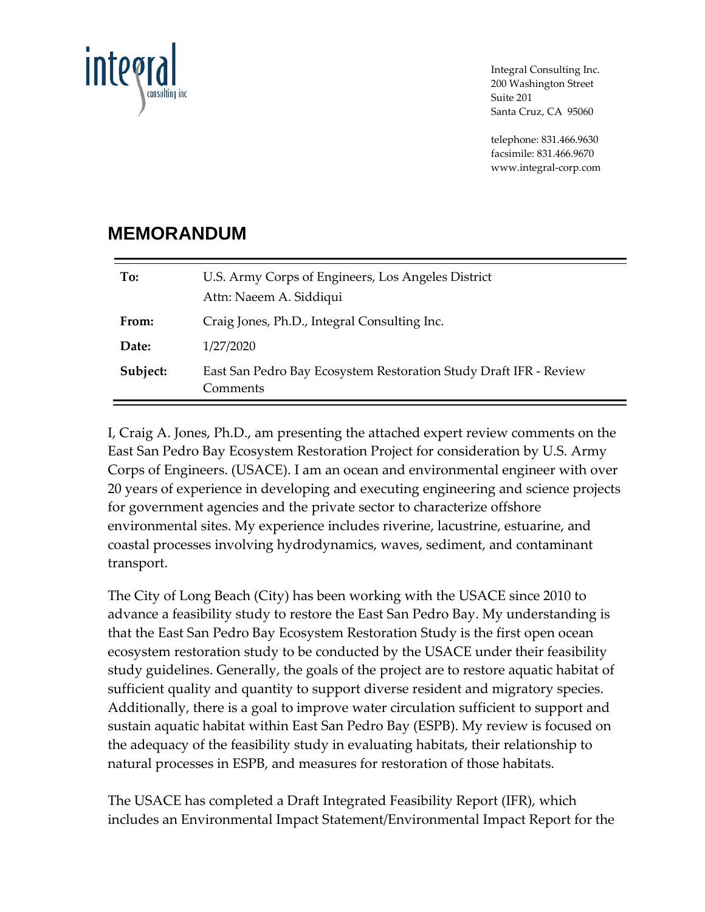

Integral Consulting Inc. 200 Washington Street Suite 201 Santa Cruz, CA 95060

telephone: 831.466.9630 facsimile: 831.466.9670 www.integral-corp.com

# **MEMORANDUM**

| To:      | U.S. Army Corps of Engineers, Los Angeles District<br>Attn: Naeem A. Siddiqui |
|----------|-------------------------------------------------------------------------------|
| From:    | Craig Jones, Ph.D., Integral Consulting Inc.                                  |
| Date:    | 1/27/2020                                                                     |
| Subject: | East San Pedro Bay Ecosystem Restoration Study Draft IFR - Review<br>Comments |

I, Craig A. Jones, Ph.D., am presenting the attached expert review comments on the East San Pedro Bay Ecosystem Restoration Project for consideration by U.S. Army Corps of Engineers. (USACE). I am an ocean and environmental engineer with over 20 years of experience in developing and executing engineering and science projects for government agencies and the private sector to characterize offshore environmental sites. My experience includes riverine, lacustrine, estuarine, and coastal processes involving hydrodynamics, waves, sediment, and contaminant transport.

The City of Long Beach (City) has been working with the USACE since 2010 to advance a feasibility study to restore the East San Pedro Bay. My understanding is that the East San Pedro Bay Ecosystem Restoration Study is the first open ocean ecosystem restoration study to be conducted by the USACE under their feasibility study guidelines. Generally, the goals of the project are to restore aquatic habitat of sufficient quality and quantity to support diverse resident and migratory species. Additionally, there is a goal to improve water circulation sufficient to support and sustain aquatic habitat within East San Pedro Bay (ESPB). My review is focused on the adequacy of the feasibility study in evaluating habitats, their relationship to natural processes in ESPB, and measures for restoration of those habitats.

The USACE has completed a Draft Integrated Feasibility Report (IFR), which includes an Environmental Impact Statement/Environmental Impact Report for the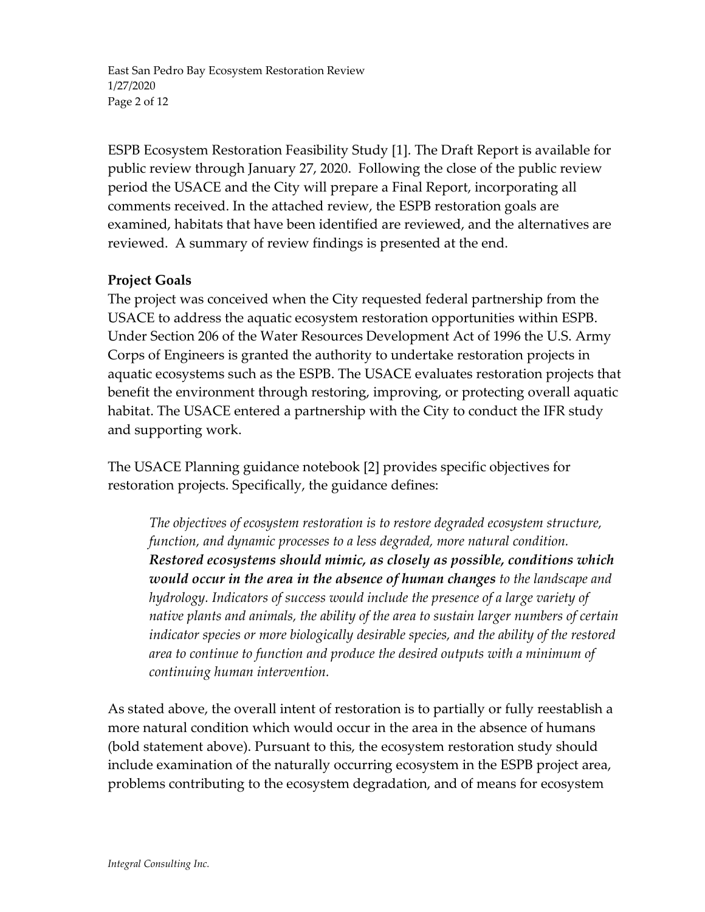East San Pedro Bay Ecosystem Restoration Review 1/27/2020 Page 2 of 12

ESPB Ecosystem Restoration Feasibility Study [1]. The Draft Report is available for public review through January 27, 2020. Following the close of the public review period the USACE and the City will prepare a Final Report, incorporating all comments received. In the attached review, the ESPB restoration goals are examined, habitats that have been identified are reviewed, and the alternatives are reviewed. A summary of review findings is presented at the end.

### **Project Goals**

The project was conceived when the City requested federal partnership from the USACE to address the aquatic ecosystem restoration opportunities within ESPB. Under Section 206 of the Water Resources Development Act of 1996 the U.S. Army Corps of Engineers is granted the authority to undertake restoration projects in aquatic ecosystems such as the ESPB. The USACE evaluates restoration projects that benefit the environment through restoring, improving, or protecting overall aquatic habitat. The USACE entered a partnership with the City to conduct the IFR study and supporting work.

The USACE Planning guidance notebook [2] provides specific objectives for restoration projects. Specifically, the guidance defines:

*The objectives of ecosystem restoration is to restore degraded ecosystem structure, function, and dynamic processes to a less degraded, more natural condition. Restored ecosystems should mimic, as closely as possible, conditions which would occur in the area in the absence of human changes to the landscape and hydrology. Indicators of success would include the presence of a large variety of native plants and animals, the ability of the area to sustain larger numbers of certain indicator species or more biologically desirable species, and the ability of the restored area to continue to function and produce the desired outputs with a minimum of continuing human intervention.*

As stated above, the overall intent of restoration is to partially or fully reestablish a more natural condition which would occur in the area in the absence of humans (bold statement above). Pursuant to this, the ecosystem restoration study should include examination of the naturally occurring ecosystem in the ESPB project area, problems contributing to the ecosystem degradation, and of means for ecosystem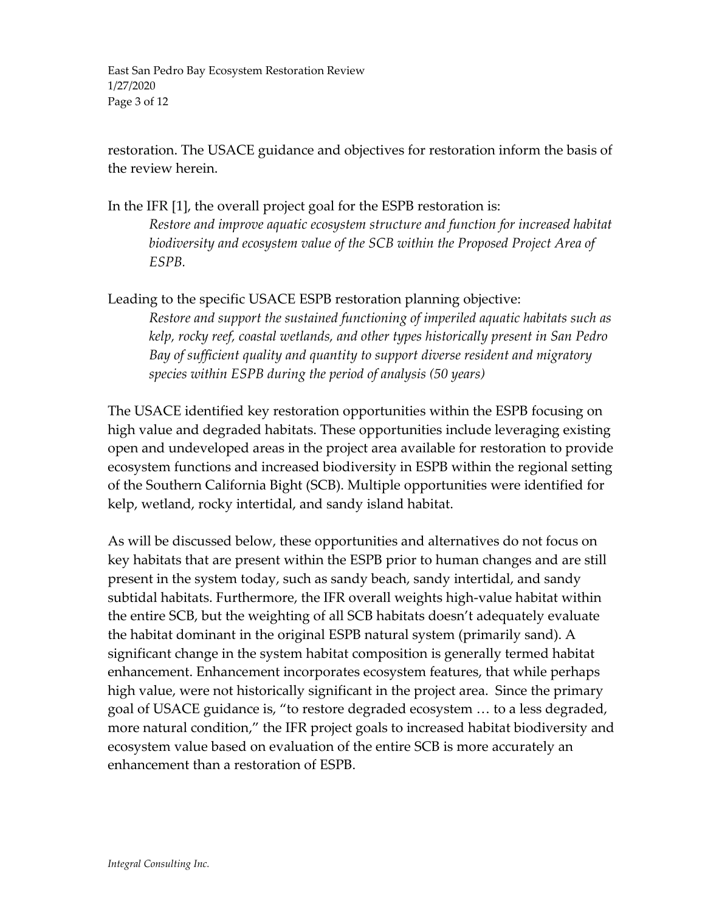East San Pedro Bay Ecosystem Restoration Review 1/27/2020 Page 3 of 12

restoration. The USACE guidance and objectives for restoration inform the basis of the review herein.

In the IFR [1], the overall project goal for the ESPB restoration is: *Restore and improve aquatic ecosystem structure and function for increased habitat biodiversity and ecosystem value of the SCB within the Proposed Project Area of ESPB.*

Leading to the specific USACE ESPB restoration planning objective: *Restore and support the sustained functioning of imperiled aquatic habitats such as kelp, rocky reef, coastal wetlands, and other types historically present in San Pedro Bay of sufficient quality and quantity to support diverse resident and migratory species within ESPB during the period of analysis (50 years)*

The USACE identified key restoration opportunities within the ESPB focusing on high value and degraded habitats. These opportunities include leveraging existing open and undeveloped areas in the project area available for restoration to provide ecosystem functions and increased biodiversity in ESPB within the regional setting of the Southern California Bight (SCB). Multiple opportunities were identified for kelp, wetland, rocky intertidal, and sandy island habitat.

As will be discussed below, these opportunities and alternatives do not focus on key habitats that are present within the ESPB prior to human changes and are still present in the system today, such as sandy beach, sandy intertidal, and sandy subtidal habitats. Furthermore, the IFR overall weights high-value habitat within the entire SCB, but the weighting of all SCB habitats doesn't adequately evaluate the habitat dominant in the original ESPB natural system (primarily sand). A significant change in the system habitat composition is generally termed habitat enhancement. Enhancement incorporates ecosystem features, that while perhaps high value, were not historically significant in the project area. Since the primary goal of USACE guidance is, "to restore degraded ecosystem … to a less degraded, more natural condition," the IFR project goals to increased habitat biodiversity and ecosystem value based on evaluation of the entire SCB is more accurately an enhancement than a restoration of ESPB.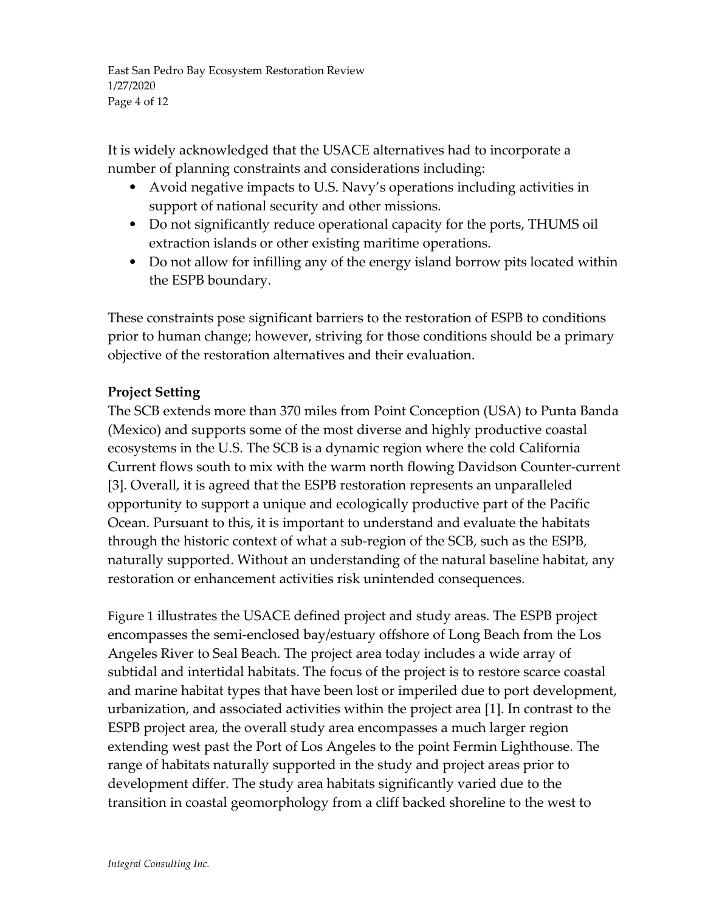East San Pedro Bay Ecosystem Restoration Review 1/27/2020 Page 4 of 12

It is widely acknowledged that the USACE alternatives had to incorporate a number of planning constraints and considerations including:

- Avoid negative impacts to U.S. Navy's operations including activities in support of national security and other missions.
- Do not significantly reduce operational capacity for the ports, THUMS oil extraction islands or other existing maritime operations.
- Do not allow for infilling any of the energy island borrow pits located within the ESPB boundary.

These constraints pose significant barriers to the restoration of ESPB to conditions prior to human change; however, striving for those conditions should be a primary objective of the restoration alternatives and their evaluation.

## **Project Setting**

The SCB extends more than 370 miles from Point Conception (USA) to Punta Banda (Mexico) and supports some of the most diverse and highly productive coastal ecosystems in the U.S. The SCB is a dynamic region where the cold California Current flows south to mix with the warm north flowing Davidson Counter-current [3]. Overall, it is agreed that the ESPB restoration represents an unparalleled opportunity to support a unique and ecologically productive part of the Pacific Ocean. Pursuant to this, it is important to understand and evaluate the habitats through the historic context of what a sub-region of the SCB, such as the ESPB, naturally supported. Without an understanding of the natural baseline habitat, any restoration or enhancement activities risk unintended consequences.

[Figure 1](#page-4-0) illustrates the USACE defined project and study areas. The ESPB project encompasses the semi-enclosed bay/estuary offshore of Long Beach from the Los Angeles River to Seal Beach. The project area today includes a wide array of subtidal and intertidal habitats. The focus of the project is to restore scarce coastal and marine habitat types that have been lost or imperiled due to port development, urbanization, and associated activities within the project area [1]. In contrast to the ESPB project area, the overall study area encompasses a much larger region extending west past the Port of Los Angeles to the point Fermin Lighthouse. The range of habitats naturally supported in the study and project areas prior to development differ. The study area habitats significantly varied due to the transition in coastal geomorphology from a cliff backed shoreline to the west to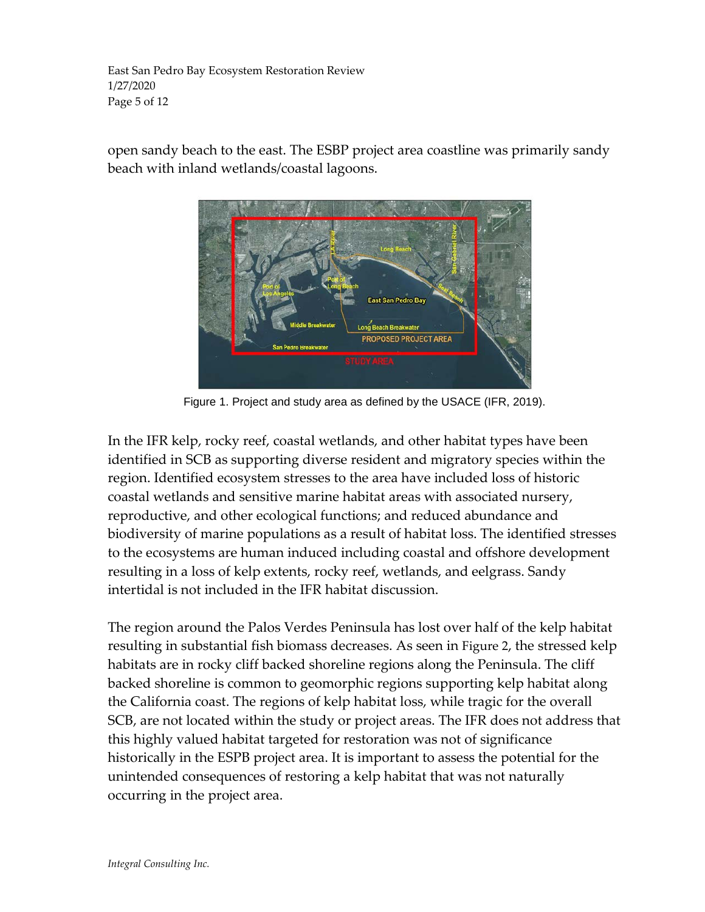East San Pedro Bay Ecosystem Restoration Review 1/27/2020 Page 5 of 12

open sandy beach to the east. The ESBP project area coastline was primarily sandy beach with inland wetlands/coastal lagoons.



Figure 1. Project and study area as defined by the USACE (IFR, 2019).

<span id="page-4-0"></span>In the IFR kelp, rocky reef, coastal wetlands, and other habitat types have been identified in SCB as supporting diverse resident and migratory species within the region. Identified ecosystem stresses to the area have included loss of historic coastal wetlands and sensitive marine habitat areas with associated nursery, reproductive, and other ecological functions; and reduced abundance and biodiversity of marine populations as a result of habitat loss. The identified stresses to the ecosystems are human induced including coastal and offshore development resulting in a loss of kelp extents, rocky reef, wetlands, and eelgrass. Sandy intertidal is not included in the IFR habitat discussion.

The region around the Palos Verdes Peninsula has lost over half of the kelp habitat resulting in substantial fish biomass decreases. As seen in [Figure 2,](#page-5-0) the stressed kelp habitats are in rocky cliff backed shoreline regions along the Peninsula. The cliff backed shoreline is common to geomorphic regions supporting kelp habitat along the California coast. The regions of kelp habitat loss, while tragic for the overall SCB, are not located within the study or project areas. The IFR does not address that this highly valued habitat targeted for restoration was not of significance historically in the ESPB project area. It is important to assess the potential for the unintended consequences of restoring a kelp habitat that was not naturally occurring in the project area.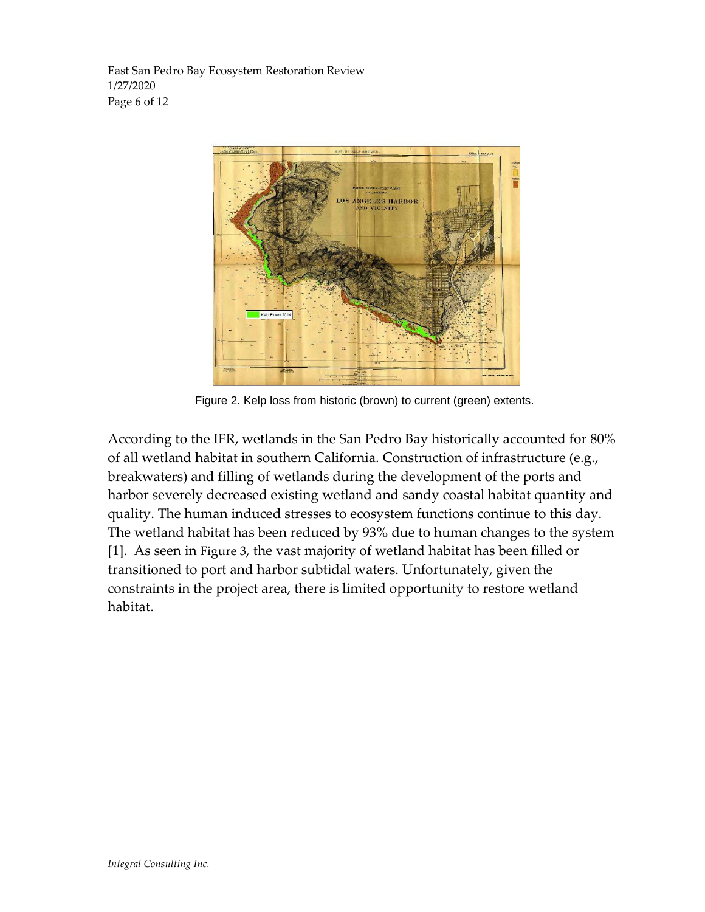East San Pedro Bay Ecosystem Restoration Review 1/27/2020 Page 6 of 12



Figure 2. Kelp loss from historic (brown) to current (green) extents.

<span id="page-5-0"></span>According to the IFR, wetlands in the San Pedro Bay historically accounted for 80% of all wetland habitat in southern California. Construction of infrastructure (e.g., breakwaters) and filling of wetlands during the development of the ports and harbor severely decreased existing wetland and sandy coastal habitat quantity and quality. The human induced stresses to ecosystem functions continue to this day. The wetland habitat has been reduced by 93% due to human changes to the system [1]. As seen in [Figure 3,](#page-6-0) the vast majority of wetland habitat has been filled or transitioned to port and harbor subtidal waters. Unfortunately, given the constraints in the project area, there is limited opportunity to restore wetland habitat.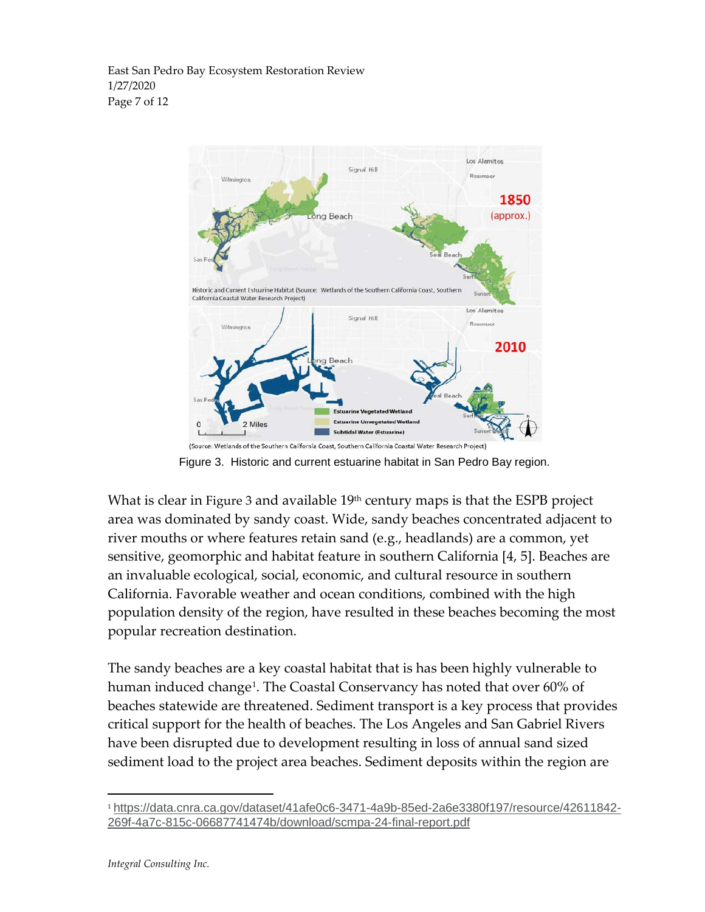East San Pedro Bay Ecosystem Restoration Review 1/27/2020 Page 7 of 12



Figure 3. Historic and current estuarine habitat in San Pedro Bay region.

<span id="page-6-0"></span>What is clear in [Figure 3](#page-6-0) and available  $19<sup>th</sup>$  century maps is that the ESPB project area was dominated by sandy coast. Wide, sandy beaches concentrated adjacent to river mouths or where features retain sand (e.g., headlands) are a common, yet sensitive, geomorphic and habitat feature in southern California [4, 5]. Beaches are an invaluable ecological, social, economic, and cultural resource in southern California. Favorable weather and ocean conditions, combined with the high population density of the region, have resulted in these beaches becoming the most popular recreation destination.

The sandy beaches are a key coastal habitat that is has been highly vulnerable to human induced change<sup>[1](#page-6-1)</sup>. The Coastal Conservancy has noted that over 60% of beaches statewide are threatened. Sediment transport is a key process that provides critical support for the health of beaches. The Los Angeles and San Gabriel Rivers have been disrupted due to development resulting in loss of annual sand sized sediment load to the project area beaches. Sediment deposits within the region are

<span id="page-6-1"></span> <sup>1</sup> [https://data.cnra.ca.gov/dataset/41afe0c6-3471-4a9b-85ed-2a6e3380f197/resource/42611842-](https://data.cnra.ca.gov/dataset/41afe0c6-3471-4a9b-85ed-2a6e3380f197/resource/42611842-269f-4a7c-815c-06687741474b/download/scmpa-24-final-report.pdf) [269f-4a7c-815c-06687741474b/download/scmpa-24-final-report.pdf](https://data.cnra.ca.gov/dataset/41afe0c6-3471-4a9b-85ed-2a6e3380f197/resource/42611842-269f-4a7c-815c-06687741474b/download/scmpa-24-final-report.pdf)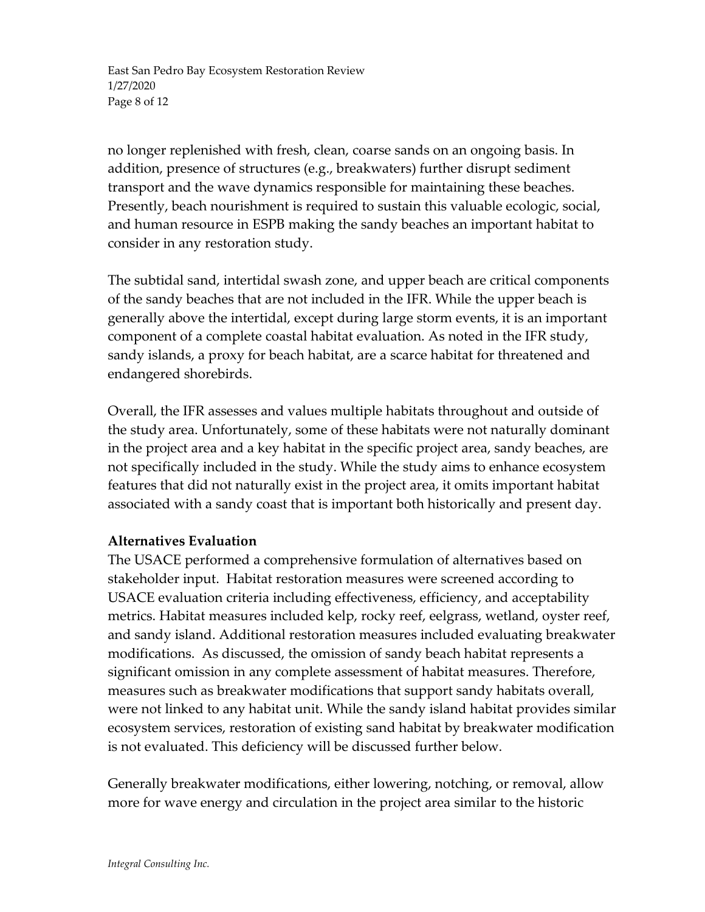East San Pedro Bay Ecosystem Restoration Review 1/27/2020 Page 8 of 12

no longer replenished with fresh, clean, coarse sands on an ongoing basis. In addition, presence of structures (e.g., breakwaters) further disrupt sediment transport and the wave dynamics responsible for maintaining these beaches. Presently, beach nourishment is required to sustain this valuable ecologic, social, and human resource in ESPB making the sandy beaches an important habitat to consider in any restoration study.

The subtidal sand, intertidal swash zone, and upper beach are critical components of the sandy beaches that are not included in the IFR. While the upper beach is generally above the intertidal, except during large storm events, it is an important component of a complete coastal habitat evaluation. As noted in the IFR study, sandy islands, a proxy for beach habitat, are a scarce habitat for threatened and endangered shorebirds.

Overall, the IFR assesses and values multiple habitats throughout and outside of the study area. Unfortunately, some of these habitats were not naturally dominant in the project area and a key habitat in the specific project area, sandy beaches, are not specifically included in the study. While the study aims to enhance ecosystem features that did not naturally exist in the project area, it omits important habitat associated with a sandy coast that is important both historically and present day.

#### **Alternatives Evaluation**

The USACE performed a comprehensive formulation of alternatives based on stakeholder input. Habitat restoration measures were screened according to USACE evaluation criteria including effectiveness, efficiency, and acceptability metrics. Habitat measures included kelp, rocky reef, eelgrass, wetland, oyster reef, and sandy island. Additional restoration measures included evaluating breakwater modifications. As discussed, the omission of sandy beach habitat represents a significant omission in any complete assessment of habitat measures. Therefore, measures such as breakwater modifications that support sandy habitats overall, were not linked to any habitat unit. While the sandy island habitat provides similar ecosystem services, restoration of existing sand habitat by breakwater modification is not evaluated. This deficiency will be discussed further below.

Generally breakwater modifications, either lowering, notching, or removal, allow more for wave energy and circulation in the project area similar to the historic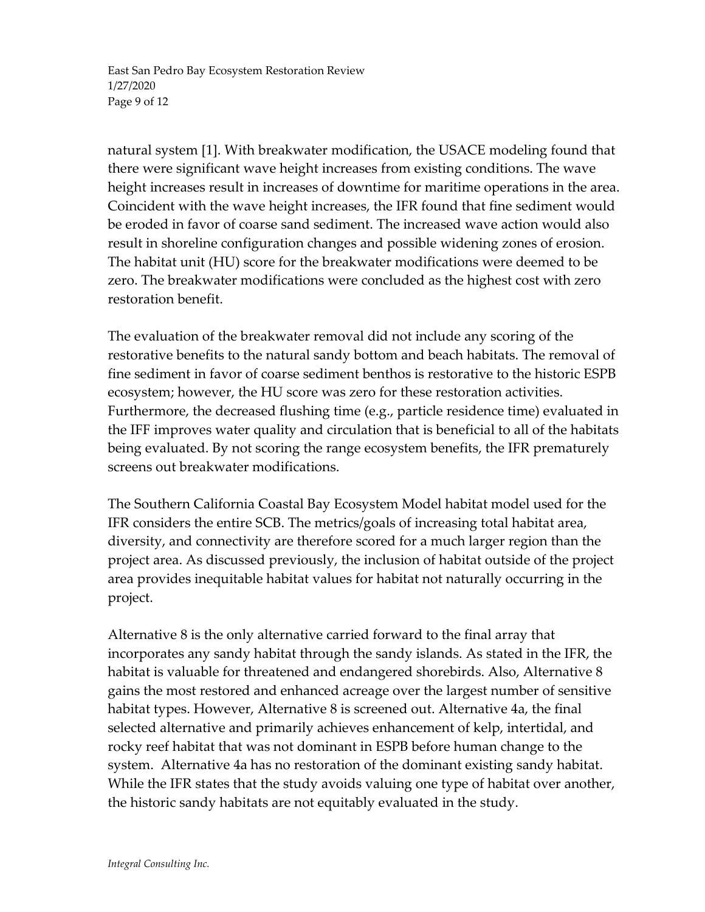East San Pedro Bay Ecosystem Restoration Review 1/27/2020 Page 9 of 12

natural system [1]. With breakwater modification, the USACE modeling found that there were significant wave height increases from existing conditions. The wave height increases result in increases of downtime for maritime operations in the area. Coincident with the wave height increases, the IFR found that fine sediment would be eroded in favor of coarse sand sediment. The increased wave action would also result in shoreline configuration changes and possible widening zones of erosion. The habitat unit (HU) score for the breakwater modifications were deemed to be zero. The breakwater modifications were concluded as the highest cost with zero restoration benefit.

The evaluation of the breakwater removal did not include any scoring of the restorative benefits to the natural sandy bottom and beach habitats. The removal of fine sediment in favor of coarse sediment benthos is restorative to the historic ESPB ecosystem; however, the HU score was zero for these restoration activities. Furthermore, the decreased flushing time (e.g., particle residence time) evaluated in the IFF improves water quality and circulation that is beneficial to all of the habitats being evaluated. By not scoring the range ecosystem benefits, the IFR prematurely screens out breakwater modifications.

The Southern California Coastal Bay Ecosystem Model habitat model used for the IFR considers the entire SCB. The metrics/goals of increasing total habitat area, diversity, and connectivity are therefore scored for a much larger region than the project area. As discussed previously, the inclusion of habitat outside of the project area provides inequitable habitat values for habitat not naturally occurring in the project.

Alternative 8 is the only alternative carried forward to the final array that incorporates any sandy habitat through the sandy islands. As stated in the IFR, the habitat is valuable for threatened and endangered shorebirds. Also, Alternative 8 gains the most restored and enhanced acreage over the largest number of sensitive habitat types. However, Alternative 8 is screened out. Alternative 4a, the final selected alternative and primarily achieves enhancement of kelp, intertidal, and rocky reef habitat that was not dominant in ESPB before human change to the system. Alternative 4a has no restoration of the dominant existing sandy habitat. While the IFR states that the study avoids valuing one type of habitat over another, the historic sandy habitats are not equitably evaluated in the study.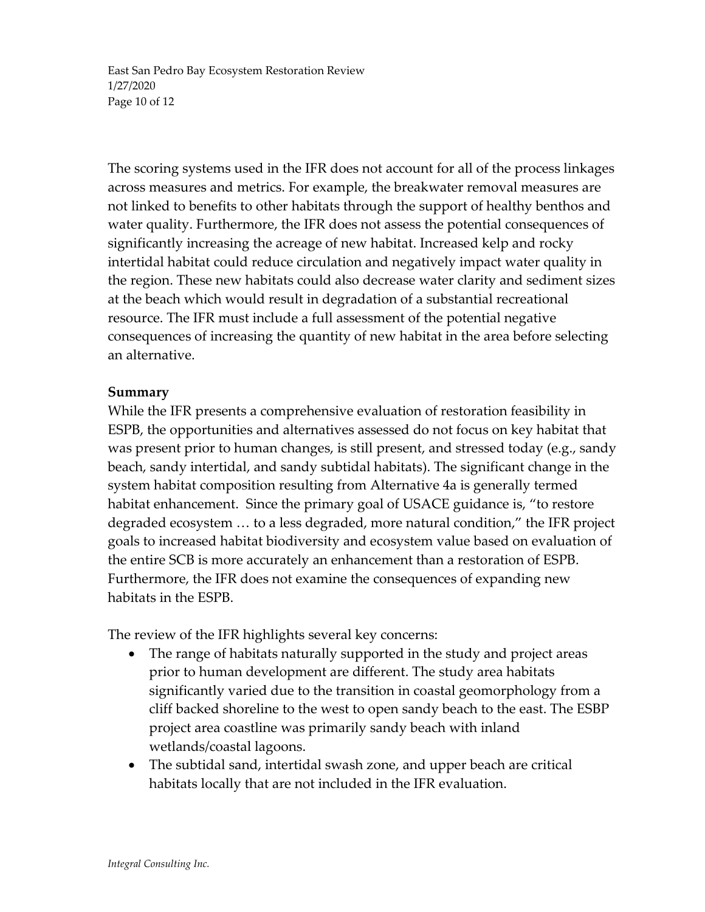East San Pedro Bay Ecosystem Restoration Review 1/27/2020 Page 10 of 12

The scoring systems used in the IFR does not account for all of the process linkages across measures and metrics. For example, the breakwater removal measures are not linked to benefits to other habitats through the support of healthy benthos and water quality. Furthermore, the IFR does not assess the potential consequences of significantly increasing the acreage of new habitat. Increased kelp and rocky intertidal habitat could reduce circulation and negatively impact water quality in the region. These new habitats could also decrease water clarity and sediment sizes at the beach which would result in degradation of a substantial recreational resource. The IFR must include a full assessment of the potential negative consequences of increasing the quantity of new habitat in the area before selecting an alternative.

#### **Summary**

While the IFR presents a comprehensive evaluation of restoration feasibility in ESPB, the opportunities and alternatives assessed do not focus on key habitat that was present prior to human changes, is still present, and stressed today (e.g., sandy beach, sandy intertidal, and sandy subtidal habitats). The significant change in the system habitat composition resulting from Alternative 4a is generally termed habitat enhancement. Since the primary goal of USACE guidance is, "to restore degraded ecosystem … to a less degraded, more natural condition," the IFR project goals to increased habitat biodiversity and ecosystem value based on evaluation of the entire SCB is more accurately an enhancement than a restoration of ESPB. Furthermore, the IFR does not examine the consequences of expanding new habitats in the ESPB.

The review of the IFR highlights several key concerns:

- The range of habitats naturally supported in the study and project areas prior to human development are different. The study area habitats significantly varied due to the transition in coastal geomorphology from a cliff backed shoreline to the west to open sandy beach to the east. The ESBP project area coastline was primarily sandy beach with inland wetlands/coastal lagoons.
- The subtidal sand, intertidal swash zone, and upper beach are critical habitats locally that are not included in the IFR evaluation.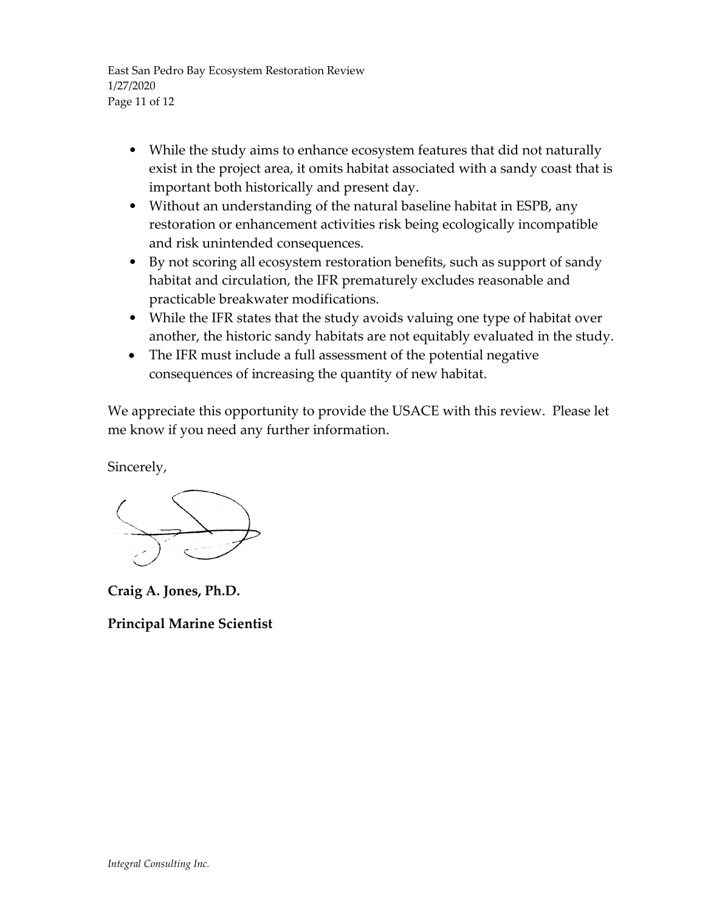East San Pedro Bay Ecosystem Restoration Review 1/27/2020 Page 11 of 12

- While the study aims to enhance ecosystem features that did not naturally exist in the project area, it omits habitat associated with a sandy coast that is important both historically and present day.
- Without an understanding of the natural baseline habitat in ESPB, any restoration or enhancement activities risk being ecologically incompatible and risk unintended consequences.
- By not scoring all ecosystem restoration benefits, such as support of sandy habitat and circulation, the IFR prematurely excludes reasonable and practicable breakwater modifications.
- While the IFR states that the study avoids valuing one type of habitat over another, the historic sandy habitats are not equitably evaluated in the study.
- The IFR must include a full assessment of the potential negative consequences of increasing the quantity of new habitat.

We appreciate this opportunity to provide the USACE with this review. Please let me know if you need any further information.

Sincerely,

**Craig A. Jones, Ph.D.**

**Principal Marine Scientist**